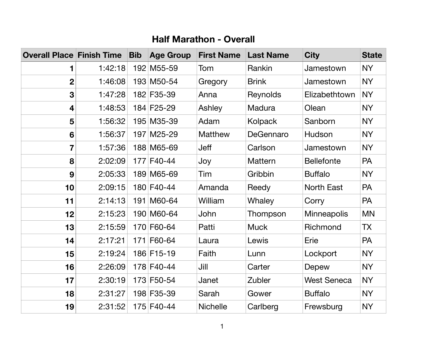## **Half Marathon - Overall**

| <b>Overall Place Finish Time</b> |         | <b>Bib</b> | <b>Age Group</b> | <b>First Name</b> | <b>Last Name</b> | <b>City</b>        | <b>State</b> |
|----------------------------------|---------|------------|------------------|-------------------|------------------|--------------------|--------------|
|                                  | 1:42:18 |            | 192 M55-59       | Tom               | Rankin           | Jamestown          | <b>NY</b>    |
| $\boldsymbol{2}$                 | 1:46:08 |            | 193 M50-54       | <b>Gregory</b>    | <b>Brink</b>     | Jamestown          | <b>NY</b>    |
| 3                                | 1:47:28 |            | 182 F35-39       | Anna              | <b>Reynolds</b>  | Elizabethtown      | <b>NY</b>    |
| 4                                | 1:48:53 |            | 184 F25-29       | Ashley            | <b>Madura</b>    | Olean              | <b>NY</b>    |
| 5                                | 1:56:32 |            | 195 M35-39       | Adam              | <b>Kolpack</b>   | Sanborn            | <b>NY</b>    |
| 6                                | 1:56:37 |            | 197 M25-29       | <b>Matthew</b>    | DeGennaro        | Hudson             | <b>NY</b>    |
| 7                                | 1:57:36 |            | 188 M65-69       | <b>Jeff</b>       | Carlson          | Jamestown          | <b>NY</b>    |
| 8                                | 2:02:09 |            | 177 F40-44       | Joy               | <b>Mattern</b>   | <b>Bellefonte</b>  | <b>PA</b>    |
| 9                                | 2:05:33 |            | 189 M65-69       | Tim               | Gribbin          | <b>Buffalo</b>     | <b>NY</b>    |
| 10                               | 2:09:15 |            | 180 F40-44       | Amanda            | Reedy            | <b>North East</b>  | <b>PA</b>    |
| 11                               | 2:14:13 |            | 191 M60-64       | William           | Whaley           | Corry              | <b>PA</b>    |
| 12                               | 2:15:23 |            | 190 M60-64       | John              | Thompson         | <b>Minneapolis</b> | <b>MN</b>    |
| 13                               | 2:15:59 |            | 170 F60-64       | Patti             | <b>Muck</b>      | Richmond           | ТX           |
| 14                               | 2:17:21 |            | 171 F60-64       | Laura             | Lewis            | Erie               | <b>PA</b>    |
| 15                               | 2:19:24 |            | 186 F15-19       | Faith             | Lunn             | Lockport           | <b>NY</b>    |
| 16                               | 2:26:09 |            | 178 F40-44       | Jill              | Carter           | Depew              | <b>NY</b>    |
| 17                               | 2:30:19 |            | 173 F50-54       | Janet             | Zubler           | <b>West Seneca</b> | <b>NY</b>    |
| 18                               | 2:31:27 |            | 198 F35-39       | Sarah             | Gower            | <b>Buffalo</b>     | <b>NY</b>    |
| 19                               | 2:31:52 |            | 175 F40-44       | <b>Nichelle</b>   | Carlberg         | Frewsburg          | <b>NY</b>    |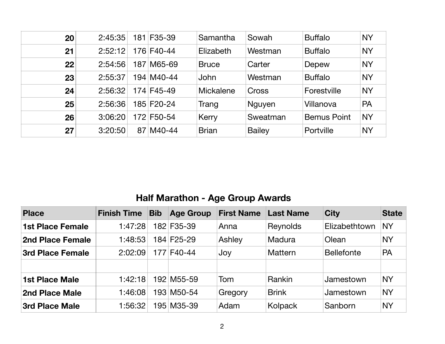| 20 | 2:45:35 | 181 F35-39 | Samantha         | Sowah         | <b>Buffalo</b>     | <b>NY</b> |
|----|---------|------------|------------------|---------------|--------------------|-----------|
| 21 | 2:52:12 | 176 F40-44 | Elizabeth        | Westman       | <b>Buffalo</b>     | <b>NY</b> |
| 22 | 2:54:56 | 187 M65-69 | <b>Bruce</b>     | Carter        | Depew              | <b>NY</b> |
| 23 | 2:55:37 | 194 M40-44 | <b>John</b>      | Westman       | <b>Buffalo</b>     | <b>NY</b> |
| 24 | 2:56:32 | 174 F45-49 | <b>Mickalene</b> | <b>Cross</b>  | Forestville        | <b>NY</b> |
| 25 | 2:56:36 | 185 F20-24 | Trang            | <b>Nguyen</b> | Villanova          | PA        |
| 26 | 3:06:20 | 172 F50-54 | Kerry            | Sweatman      | <b>Bemus Point</b> | <b>NY</b> |
| 27 | 3:20:50 | 87 M40-44  | <b>Brian</b>     | <b>Bailey</b> | <b>Portville</b>   | <b>NY</b> |

## **Half Marathon - Age Group Awards**

| <b>Place</b>            | <b>Finish Time</b> | <b>Bib</b> | <b>Age Group</b> | <b>First Name</b> | <b>Last Name</b> | <b>City</b>       | <b>State</b> |
|-------------------------|--------------------|------------|------------------|-------------------|------------------|-------------------|--------------|
| <b>1st Place Female</b> | 1:47:28            |            | 182 F35-39       | Anna              | <b>Reynolds</b>  | Elizabethtown     | <b>NY</b>    |
| <b>2nd Place Female</b> | 1:48:53            |            | 184 F25-29       | Ashley            | Madura           | Olean             | <b>NY</b>    |
| <b>3rd Place Female</b> | 2:02:09            |            | 177 F40-44       | Joy               | <b>Mattern</b>   | <b>Bellefonte</b> | <b>PA</b>    |
|                         |                    |            |                  |                   |                  |                   |              |
| <b>1st Place Male</b>   | 1:42:18            |            | 192 M55-59       | Tom               | <b>Rankin</b>    | Jamestown         | <b>NY</b>    |
| <b>2nd Place Male</b>   | 1:46:08            |            | 193 M50-54       | Gregory           | <b>Brink</b>     | Jamestown         | <b>NY</b>    |
| <b>3rd Place Male</b>   | 1:56:32            |            | 195 M35-39       | Adam              | Kolpack          | Sanborn           | <b>NY</b>    |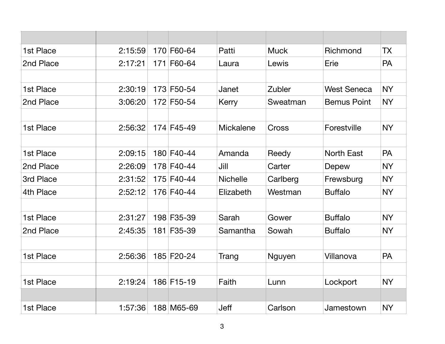| 1st Place | 2:15:59 | 170 | F60-64     | Patti            | <b>Muck</b>   | Richmond           | <b>TX</b> |
|-----------|---------|-----|------------|------------------|---------------|--------------------|-----------|
| 2nd Place | 2:17:21 | 171 | F60-64     | Laura            | Lewis         | Erie               | <b>PA</b> |
|           |         |     |            |                  |               |                    |           |
| 1st Place | 2:30:19 |     | 173 F50-54 | Janet            | <b>Zubler</b> | <b>West Seneca</b> | <b>NY</b> |
| 2nd Place | 3:06:20 |     | 172 F50-54 | Kerry            | Sweatman      | <b>Bemus Point</b> | <b>NY</b> |
|           |         |     |            |                  |               |                    |           |
| 1st Place | 2:56:32 |     | 174 F45-49 | <b>Mickalene</b> | Cross         | Forestville        | <b>NY</b> |
|           |         |     |            |                  |               |                    |           |
| 1st Place | 2:09:15 |     | 180 F40-44 | Amanda           | Reedy         | <b>North East</b>  | <b>PA</b> |
| 2nd Place | 2:26:09 |     | 178 F40-44 | Jill             | Carter        | Depew              | <b>NY</b> |
| 3rd Place | 2:31:52 |     | 175 F40-44 | <b>Nichelle</b>  | Carlberg      | Frewsburg          | <b>NY</b> |
| 4th Place | 2:52:12 |     | 176 F40-44 | Elizabeth        | Westman       | <b>Buffalo</b>     | <b>NY</b> |
| 1st Place | 2:31:27 |     | 198 F35-39 | Sarah            | Gower         | <b>Buffalo</b>     | <b>NY</b> |
| 2nd Place | 2:45:35 |     | 181 F35-39 | Samantha         | Sowah         | <b>Buffalo</b>     | <b>NY</b> |
|           |         |     |            |                  |               |                    |           |
| 1st Place | 2:56:36 |     | 185 F20-24 | Trang            | <b>Nguyen</b> | Villanova          | <b>PA</b> |
|           |         |     |            |                  |               |                    |           |
| 1st Place | 2:19:24 |     | 186 F15-19 | Faith            | Lunn          | Lockport           | <b>NY</b> |
|           |         |     |            |                  |               |                    |           |
| 1st Place | 1:57:36 |     | 188 M65-69 | <b>Jeff</b>      | Carlson       | Jamestown          | <b>NY</b> |